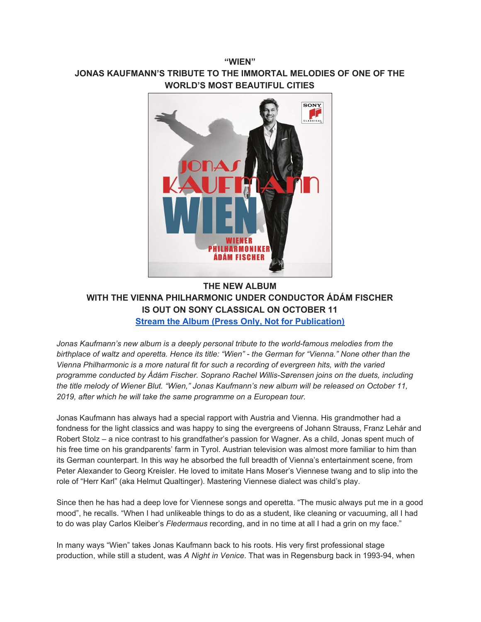## **"WIEN" JONAS KAUFMANN'S TRIBUTE TO THE IMMORTAL MELODIES OF ONE OF THE WORLD'S MOST BEAUTIFUL CITIES**



**THE NEW ALBUM WITH THE VIENNA PHILHARMONIC UNDER CONDUCTOR ÁDÁM FISCHER IS OUT ON SONY CLASSICAL ON OCTOBER 11 Stream the Album (Press Only, Not for [Publication\)](https://u7061146.ct.sendgrid.net/wf/click?upn=G62jSYfZdO-2F12d8lSllQBz90VWQsVigh5nYJ0tmSr7hQ3-2FjJuO03Mw8mwhe6ctsJDD5bOKqySzQQ4-2Fnzqoomh8fCaZNpgoimoKVvP0a6UFyfPfyy1WClh8sm9A1VGuPl_DruDjhchMBr5xQkz3h1qcOnjZc-2BCsAVhraQ7DxYhbA2-2BHLQf-2BHKWaWi2FTM7QHo-2Fd7eCMDRMAhfd2mcWSs-2FpzNW9MmuPwV7rH-2FbDd7DdSSZuY2-2Fndu2CJBQtdaFOGtJ4chNYiBqVvhxzao56RI-2BbAqndv-2Btet-2BgXR5QlRCAbBoDhHORm-2Bxymg7t6yO2fA1IfRrG5zXksI4uMueAf-2Bu-2FBB2hZR29UhPDRCAMPiYoslFqttE52VOb0irfW-2Bh1Ls-2Fz1DDCbv6yMqDZ-2B99pY8l3d4lyHdf-2BtwoIGWhGTVmF79hKW6N1MZUHHcui9vmKfIQClDeOetVxDXnZG99xgsYr5WL2rZaOhNRZcrYMccMhZuuY-3D)**

*Jonas Kaufmann's new album is a deeply personal tribute to the world-famous melodies from the* birthplace of waltz and operetta. Hence its title: "Wien" - the German for "Vienna." None other than the *Vienna Philharmonic is a more natural fit for such a recording of evergreen hits, with the varied programme conducted by Ádám Fischer. Soprano Rachel Willis-Sørensen joins on the duets, including the title melody of Wiener Blut. "Wien," Jonas Kaufmann's new album will be released on October 11, 2019, after which he will take the same programme on a European tour.*

Jonas Kaufmann has always had a special rapport with Austria and Vienna. His grandmother had a fondness for the light classics and was happy to sing the evergreens of Johann Strauss, Franz Lehár and Robert Stolz – a nice contrast to his grandfather's passion for Wagner. As a child, Jonas spent much of his free time on his grandparents' farm in Tyrol. Austrian television was almost more familiar to him than its German counterpart. In this way he absorbed the full breadth of Vienna's entertainment scene, from Peter Alexander to Georg Kreisler. He loved to imitate Hans Moser's Viennese twang and to slip into the role of "Herr Karl" (aka Helmut Qualtinger). Mastering Viennese dialect was child's play.

Since then he has had a deep love for Viennese songs and operetta. "The music always put me in a good mood", he recalls. "When I had unlikeable things to do as a student, like cleaning or vacuuming, all I had to do was play Carlos Kleiber's *Fledermaus* recording, and in no time at all I had a grin on my face."

In many ways "Wien" takes Jonas Kaufmann back to his roots. His very first professional stage production, while still a student, was *A Night in Venice*. That was in Regensburg back in 1993-94, when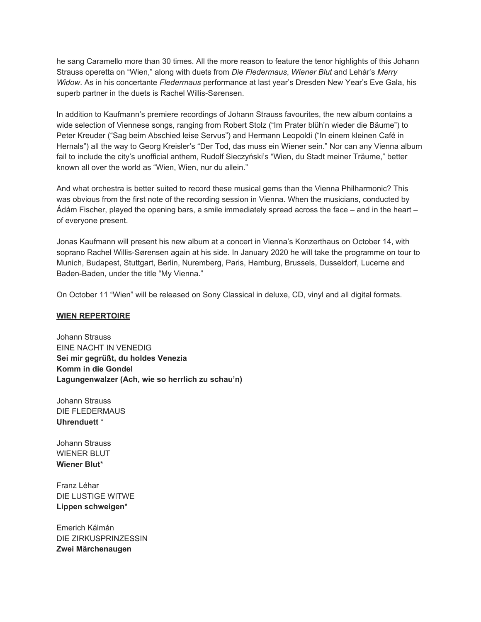he sang Caramello more than 30 times. All the more reason to feature the tenor highlights of this Johann Strauss operetta on "Wien," along with duets from *Die Fledermaus*, *Wiener Blut* and Lehár's *Merry Widow*. As in his concertante *Fledermaus* performance at last year's Dresden New Year's Eve Gala, his superb partner in the duets is Rachel Willis-Sørensen.

In addition to Kaufmann's premiere recordings of Johann Strauss favourites, the new album contains a wide selection of Viennese songs, ranging from Robert Stolz ("Im Prater blüh'n wieder die Bäume") to Peter Kreuder ("Sag beim Abschied leise Servus") and Hermann Leopoldi ("In einem kleinen Café in Hernals") all the way to Georg Kreisler's "Der Tod, das muss ein Wiener sein." Nor can any Vienna album fail to include the city's unofficial anthem, Rudolf Sieczyński's "Wien, du Stadt meiner Träume," better known all over the world as "Wien, Wien, nur du allein."

And what orchestra is better suited to record these musical gems than the Vienna Philharmonic? This was obvious from the first note of the recording session in Vienna. When the musicians, conducted by Ádám Fischer, played the opening bars, a smile immediately spread across the face – and in the heart – of everyone present.

Jonas Kaufmann will present his new album at a concert in Vienna's Konzerthaus on October 14, with soprano Rachel Willis-Sørensen again at his side. In January 2020 he will take the programme on tour to Munich, Budapest, Stuttgart, Berlin, Nuremberg, Paris, Hamburg, Brussels, Dusseldorf, Lucerne and Baden-Baden, under the title "My Vienna."

On October 11 "Wien" will be released on Sony Classical in deluxe, CD, vinyl and all digital formats.

## **WIEN REPERTOIRE**

Johann Strauss EINE NACHT IN VENEDIG **Sei mir gegrüßt, du holdes Venezia Komm in die Gondel Lagungenwalzer (Ach, wie so herrlich zu schau'n)**

Johann Strauss DIE FLEDERMAUS **Uhrenduett** \*

Johann Strauss WIENER BLUT **Wiener Blut**\*

Franz Léhar DIE LUSTIGE WITWE **Lippen schweigen**\*

Emerich Kálmán DIE ZIRKUSPRINZESSIN **Zwei Märchenaugen**